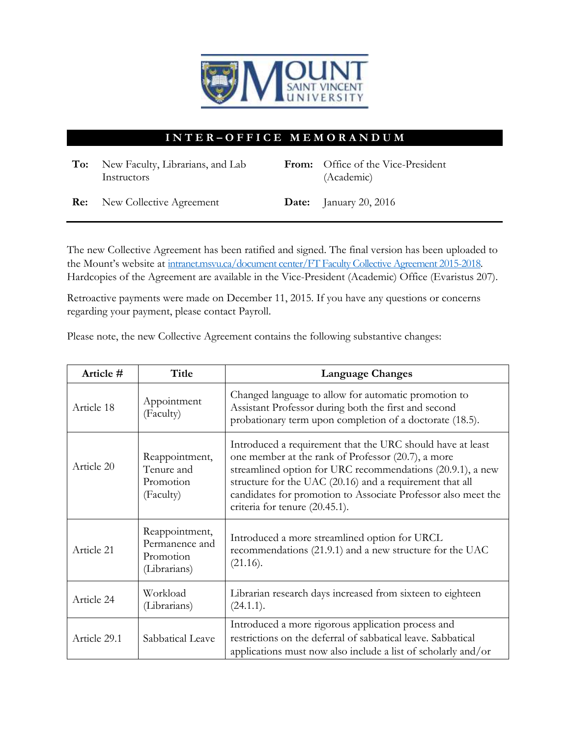

## **I N T E R – O F F I C E M E M O R A N D U M**

| To: New Faculty, Librarians, and Lab<br>Instructors | From: Office of the Vice-President<br>(Academic) |
|-----------------------------------------------------|--------------------------------------------------|
| <b>Re:</b> New Collective Agreement                 | <b>Date:</b> January 20, 2016                    |

The new Collective Agreement has been ratified and signed. The final version has been uploaded to the Mount's website at [intranet.msvu.ca/document center/FT Faculty Collective Agreement 2015-2018.](https://intranet.msvu.ca/docs/Document%20Center/FT%20Faculty%20Collective%20Agreement%202015-2018.pdf) Hardcopies of the Agreement are available in the Vice-President (Academic) Office (Evaristus 207).

Retroactive payments were made on December 11, 2015. If you have any questions or concerns regarding your payment, please contact Payroll.

Please note, the new Collective Agreement contains the following substantive changes:

| Article #    | Title                                                         | <b>Language Changes</b>                                                                                                                                                                                                                                                                                                                       |
|--------------|---------------------------------------------------------------|-----------------------------------------------------------------------------------------------------------------------------------------------------------------------------------------------------------------------------------------------------------------------------------------------------------------------------------------------|
| Article 18   | Appointment<br>(Faculty)                                      | Changed language to allow for automatic promotion to<br>Assistant Professor during both the first and second<br>probationary term upon completion of a doctorate (18.5).                                                                                                                                                                      |
| Article 20   | Reappointment,<br>Tenure and<br>Promotion<br>(Faculty)        | Introduced a requirement that the URC should have at least<br>one member at the rank of Professor (20.7), a more<br>streamlined option for URC recommendations (20.9.1), a new<br>structure for the UAC (20.16) and a requirement that all<br>candidates for promotion to Associate Professor also meet the<br>criteria for tenure (20.45.1). |
| Article 21   | Reappointment,<br>Permanence and<br>Promotion<br>(Librarians) | Introduced a more streamlined option for URCL<br>recommendations (21.9.1) and a new structure for the UAC<br>(21.16).                                                                                                                                                                                                                         |
| Article 24   | Workload<br>(Librarians)                                      | Librarian research days increased from sixteen to eighteen<br>(24.1.1).                                                                                                                                                                                                                                                                       |
| Article 29.1 | Sabbatical Leave                                              | Introduced a more rigorous application process and<br>restrictions on the deferral of sabbatical leave. Sabbatical<br>applications must now also include a list of scholarly and/or                                                                                                                                                           |